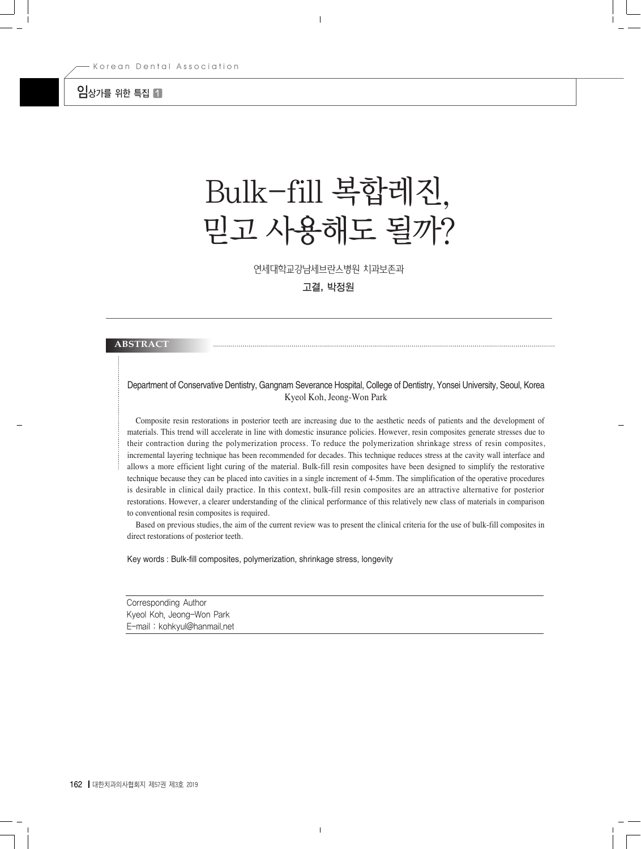## $9$  and  $\blacksquare$

# Bulk-fill 복합레진, 믿고 사용해도 될까?

연세대학교강남세브란스병원 치과보존과

고결, 박정원

#### **ABSTRACT**

#### Department of Conservative Dentistry, Gangnam Severance Hospital, College of Dentistry, Yonsei University, Seoul, Korea Kyeol Koh, Jeong-Won Park

Composite resin restorations in posterior teeth are increasing due to the aesthetic needs of patients and the development of materials. This trend will accelerate in line with domestic insurance policies. However, resin composites generate stresses due to their contraction during the polymerization process. To reduce the polymerization shrinkage stress of resin composites, incremental layering technique has been recommended for decades. This technique reduces stress at the cavity wall interface and allows a more efficient light curing of the material. Bulk-fill resin composites have been designed to simplify the restorative technique because they can be placed into cavities in a single increment of 4-5mm. The simplification of the operative procedures is desirable in clinical daily practice. In this context, bulk-fill resin composites are an attractive alternative for posterior restorations. However, a clearer understanding of the clinical performance of this relatively new class of materials in comparison to conventional resin composites is required.

Based on previous studies, the aim of the current review was to present the clinical criteria for the use of bulk-fill composites in direct restorations of posterior teeth.

Key words : Bulk-fill composites, polymerization, shrinkage stress, longevity

Corresponding Author Kyeol Koh, Jeong-Won Park E-mail : kohkyul@hanmail.net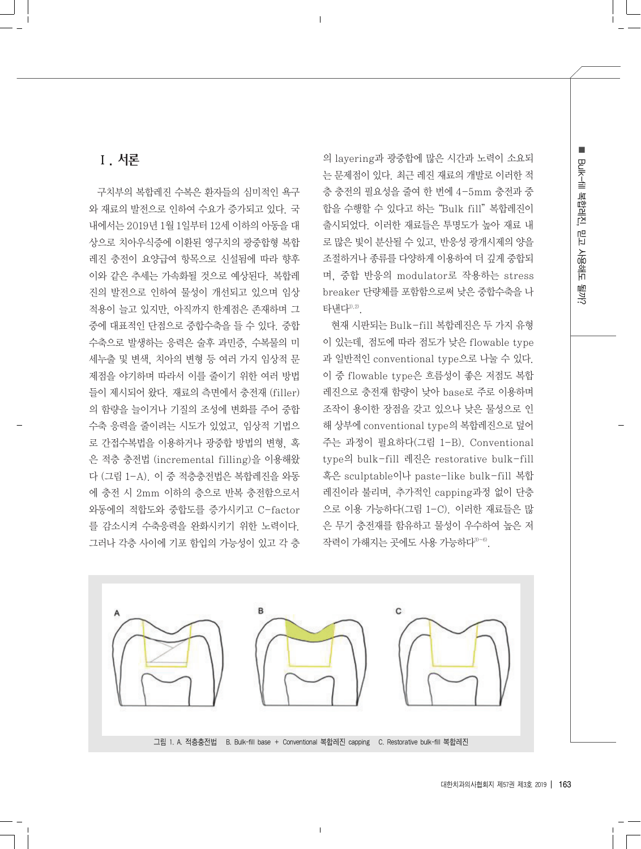## Ⅰ. 서론

구치부의 복합레진 수복은 환자들의 심미적인 욕구 와 재료의 발전으로 인하여 수요가 증가되고 있다. 국 내에서는 2019년 1월 1일부터 12세 이하의 아동을 대 상으로 치아우식증에 이환된 영구치의 광중합형 복합 레진 충전이 요양급여 항목으로 신설됨에 따라 향후 이와 같은 추세는 가속화될 것으로 예상된다. 복합레 진의 발전으로 인하여 물성이 개선되고 있으며 임상 적용이 늘고 있지만, 아직까지 한계점은 존재하며 그 중에 대표적인 단점으로 중합수축을 들 수 있다. 중합 수축으로 발생하는 응력은 술후 과민증, 수복물의 미 세누출 및 변색, 치아의 변형 등 여러 가지 임상적 문 제점을 야기하며 따라서 이를 줄이기 위한 여러 방법 들이 제시되어 왔다. 재료의 측면에서 충전재 (filler) 의 함량을 늘이거나 기질의 조성에 변화를 주어 중합 수축 응력을 줄이려는 시도가 있었고, 임상적 기법으 로 간접수복법을 이용하거나 광중합 방법의 변형, 혹 은 적층 충전법 (incremental filling)을 이용해왔 다 (그림 1-A). 이 중 적층충전법은 복합레진을 와동 에 충전 시 2mm 이하의 층으로 반복 충전함으로서 와동에의 적합도와 중합도를 증가시키고 C-factor 를 감소시켜 수축응력을 완화시키기 위한 노력이다. 그러나 각층 사이에 기포 함입의 가능성이 있고 각 층 의 layering과 광중합에 많은 시간과 노력이 소요되 는 문제점이 있다. 최근 레진 재료의 개발로 이러한 적 층 충전의 필요성을 줄여 한 번에 4-5mm 충전과 중 합을 수행할 수 있다고 하는"Bulk fill"복합레진이 출시되었다. 이러한 재료들은 투명도가 높아 재료 내 로 많은 빛이 분산될 수 있고, 반응성 광개시제의 양을 조절하거나 종류를 다양하게 이용하여 더 깊게 중합되 며, 중합 반응의 modulator로 작용하는 stress breaker 단량체를 포함함으로써 낮은 중합수축을 나 타낸다1),2)

현재 시판되는 Bulk-fill 복합레진은 두 가지 유형 이 있는데, 점도에 따라 점도가 낮은 flowable type 과 일반적인 conventional type으로 나눌 수 있다. 이 중 flowable type은 흐름성이 좋은 저점도 복합 레진으로 충전재 함량이 낮아 base로 주로 이용하며 조작이 용이한 장점을 갖고 있으나 낮은 물성으로 인 해 상부에 conventional type의 복합레진으로 덮어 주는 과정이 필요하다(그림 1-B). Conventional type의 bulk-fill 레진은 restorative bulk-fill 혹은 sculptable이나 paste-like bulk-fill 복합 레진이라 불리며, 추가적인 capping과정 없이 단층 으로 이용 가능하다(그림 1-C). 이러한 재료들은 많 은 무기 충전재를 함유하고 물성이 우수하여 높은 저 작력이 가해지는 곳에도 사용 가능하다3)~6).

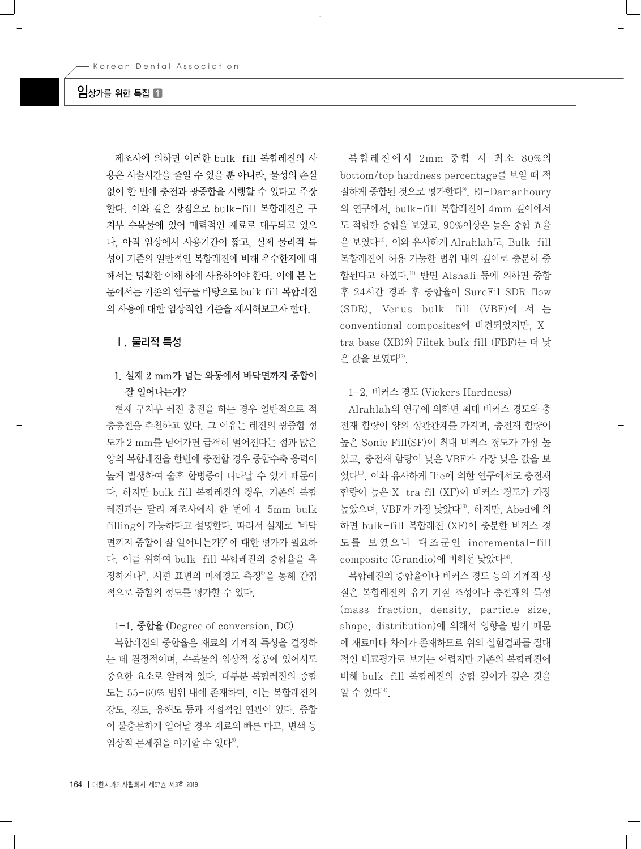## $9$ 상가를 위한 특집  $\P$

제조사에 의하면 이러한 bulk-fill 복합레진의 사 용은 시술시간을 줄일 수 있을 뿐 아니라, 물성의 손실 없이 한 번에 충전과 광중합을 시행할 수 있다고 주장 한다. 이와 같은 장점으로 bulk-fill 복합레진은 구 치부 수복물에 있어 매력적인 재료로 대두되고 있으 나, 아직 임상에서 사용기간이 짧고, 실제 물리적 특 성이 기존의 일반적인 복합레진에 비해 우수한지에 대 해서는 명확한 이해 하에 사용하여야 한다. 이에 본 논 문에서는 기존의 연구를 바탕으로 bulk fill 복합레진 의 사용에 대한 임상적인 기준을 제시해보고자 한다.

## Ⅰ. 물리적 특성

## 1. 실제 2 mm가 넘는 와동에서 바닥면까지 중합이 잘 일어나는가?

현재 구치부 레진 충전을 하는 경우 일반적으로 적 층충전을 추천하고 있다. 그 이유는 레진의 광중합 정 도가 2 mm를 넘어가면 급격히 떨어진다는 점과 많은 양의 복합레진을 한번에 충전할 경우 중합수축 응력이 높게 발생하여 술후 합병증이 나타날 수 있기 때문이 다. 하지만 bulk fill 복합레진의 경우, 기존의 복합 레진과는 달리 제조사에서 한 번에 4-5mm bulk filling이 가능하다고 설명한다. 따라서 실제로'바닥 면까지 중합이 잘 일어나는가?'에 대한 평가가 필요하 다. 이를 위하여 bulk-fill 복합레진의 중합율을 측 정하거나". 시편 표면의 미세경도 측정8을 통해 간접 적으로 중합의 정도를 평가할 수 있다.

#### 1-1. 중합율 (Degree of conversion, DC)

복합레진의 중합율은 재료의 기계적 특성을 결정하 는 데 결정적이며, 수복물의 임상적 성공에 있어서도 중요한 요소로 알려져 있다. 대부분 복합레진의 중합 도는 55-60% 범위 내에 존재하며, 이는 복합레진의 강도, 경도, 용해도 등과 직접적인 연관이 있다. 중합 이 불충분하게 일어날 경우 재료의 빠른 마모, 변색 등 임상적 문제점을 야기할 수 있다<sup>8)</sup>.

복합레진에서 2mm 중합 시 최소 80%의 bottom/top hardness percentage를 보일 때 적 절하게 중합된 것으로 평가한다9). El-Damanhoury 의 연구에서, bulk-fill 복합레진이 4mm 깊이에서 도 적합한 중합을 보였고, 90%이상은 높은 중합 효율 을 보였다10). 이와 유사하게 Alrahlah도, Bulk-fill 복합레진이 허용 가능한 범위 내의 깊이로 충분히 중 합된다고 하였다.<sup>11)</sup> 반면 Alshali 등에 의하면 중합 후 24시간 경과 후 중합율이 SureFil SDR flow (SDR), Venus bulk fill (VBF)에 서 는 conventional composites에 비견되었지만, Xtra base (XB)와 Filtek bulk fill (FBF)는 더 낮 은 값을 보였다<sup>12)</sup>.

1-2. 비커스 경도 (Vickers Hardness)

Alrahlah의 연구에 의하면 최대 비커스 경도와 충 전재 함량이 양의 상관관계를 가지며, 충전재 함량이 높은 Sonic Fill(SF)이 최대 비커스 경도가 가장 높 았고, 충전재 함량이 낮은 VBF가 가장 낮은 값을 보 였다<sup>11)</sup>. 이와 유사하게 Ilie에 의한 연구에서도 충전재 함량이 높은 X-tra fil (XF)이 비커스 경도가 가장 높았으며, VBF가 가장 낮았다<sup>13)</sup>. 하지만, Abed에 의 하면 bulk-fill 복합레진 (XF)이 충분한 비커스 경 도를 보였으나 대조군인 incremental-fill composite (Grandio)에 비해선 낮았다14).

복합레진의 중합율이나 비커스 경도 등의 기계적 성 질은 복합레진의 유기 기질 조성이나 충전재의 특성 (mass fraction, density, particle size, shape, distribution)에 의해서 영향을 받기 때문 에 재료마다 차이가 존재하므로 위의 실험결과를 절대 적인 비교평가로 보기는 어렵지만 기존의 복합레진에 비해 bulk-fill 복합레진의 중합 깊이가 깊은 것을 알 수 있다<sup>14)</sup>.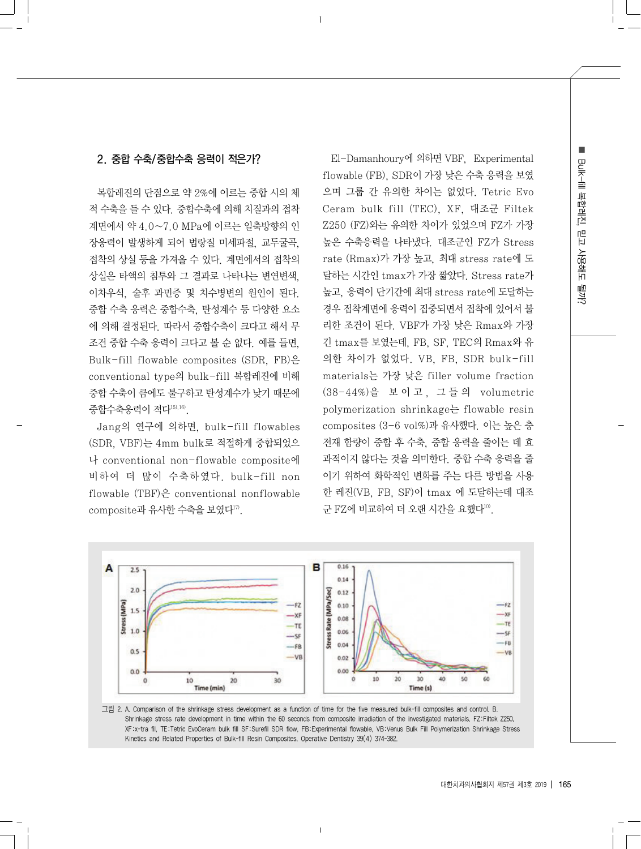## 2. 중합 수축/중합수축 응력이 적은가?

복합레진의 단점으로 약 2%에 이르는 중합 시의 체 적 수축을 들 수 있다. 중합수축에 의해 치질과의 접착 계면에서 약 4.0∼7.0 MPa에 이르는 일축방향의 인 장응력이 발생하게 되어 법랑질 미세파절, 교두굴곡, 접착의 상실 등을 가져올 수 있다. 계면에서의 접착의 상실은 타액의 침투와 그 결과로 나타나는 변연변색, 이차우식, 술후 과민증 및 치수병변의 원인이 된다. 중합 수축 응력은 중합수축, 탄성계수 등 다양한 요소 에 의해 결정된다. 따라서 중합수축이 크다고 해서 무 조건 중합 수축 응력이 크다고 볼 순 없다. 예를 들면, Bulk-fill flowable composites (SDR, FB)은 conventional type의 bulk-fill 복합레진에 비해 중합 수축이 큼에도 불구하고 탄성계수가 낮기 때문에 중합수축응력이 적다15),16).

Jang의 연구에 의하면, bulk-fill flowables (SDR, VBF)는 4mm bulk로 적절하게 중합되었으 나 conventional non-flowable composite에 비하여 더 많이 수축하였다. bulk-fill non flowable (TBF)은 conventional nonflowable composite과 유사한 수축을 보였다<sup>17)</sup>.

El-Damanhoury에 의하면 VBF, Experimental flowable (FB), SDR이 가장 낮은 수축 응력을 보였 으며 그룹 간 유의한 차이는 없었다. Tetric Evo Ceram bulk fill (TEC), XF, 대조군 Filtek Z250 (FZ)와는 유의한 차이가 있었으며 FZ가 가장 높은 수축응력을 나타냈다. 대조군인 FZ가 Stress rate (Rmax)가 가장 높고, 최대 stress rate에 도 달하는 시간인 tmax가 가장 짧았다. Stress rate가 높고, 응력이 단기간에 최대 stress rate에 도달하는 경우 접착계면에 응력이 집중되면서 접착에 있어서 불 리한 조건이 된다. VBF가 가장 낮은 Rmax와 가장 긴 tmax를 보였는데, FB, SF, TEC의 Rmax와 유 의한 차이가 없었다. VB, FB, SDR bulk-fill materials는 가장 낮은 filler volume fraction (38-44%)을 보 이 고 , 그 들 의 volumetric polymerization shrinkage는 flowable resin composites (3-6 vol%)과 유사했다. 이는 높은 충 전재 함량이 중합 후 수축, 중합 응력을 줄이는 데 효 과적이지 않다는 것을 의미한다. 중합 수축 응력을 줄 이기 위하여 화학적인 변화를 주는 다른 방법을 사용 한 레진(VB, FB, SF)이 tmax 에 도달하는데 대조 군 FZ에 비교하여 더 오랜 시간을 요했다<sup>10)</sup>.



그림 2. A. Comparison of the shrinkage stress development as a function of time for the five measured bulk-fill composites and control. B. Shrinkage stress rate development in time within the 60 seconds from composite irradiation of the investigated materials. FZ:Filtek Z250, XF:x-tra fil, TE:Tetric EvoCeram bulk fill SF:Surefil SDR flow, FB:Experimental flowable, VB:Venus Bulk Fill Polymerization Shrinkage Stress Kinetics and Related Properties of Bulk-fill Resin Composites. Operative Dentistry 39(4) 374-382.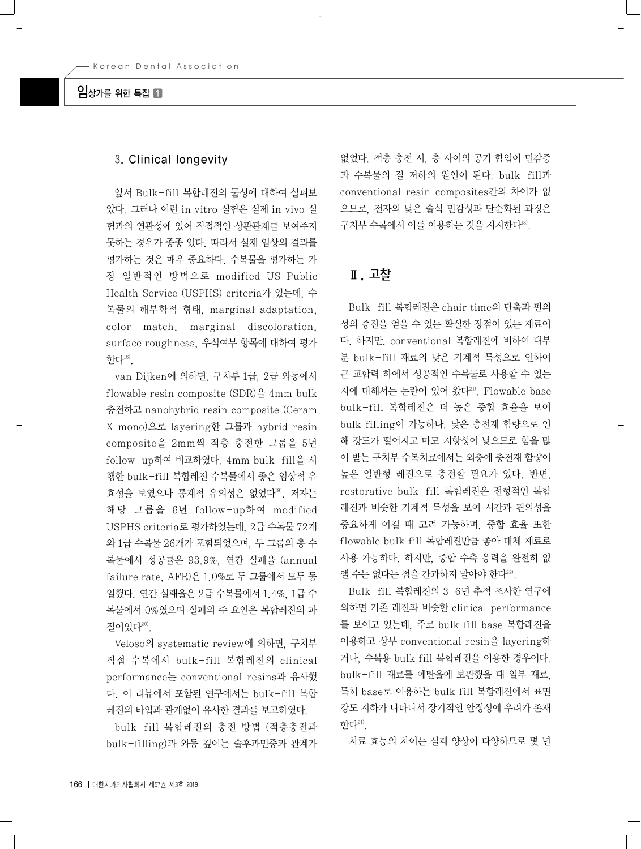## $9$ 상가를 위한 특집  $\blacksquare$

## 3. Clinical longevity

앞서 Bulk-fill 복합레진의 물성에 대하여 살펴보 았다. 그러나 이런 in vitro 실험은 실제 in vivo 실 험과의 연관성에 있어 직접적인 상관관계를 보여주지 못하는 경우가 종종 있다. 따라서 실제 임상의 결과를 평가하는 것은 매우 중요하다. 수복물을 평가하는 가 장 일반적인 방법으로 modified US Public Health Service (USPHS) criteria가 있는데, 수 복물의 해부학적 형태, marginal adaptation, color match, marginal discoloration, surface roughness, 우식여부 항목에 대하여 평가 한다18).

van Dijken에 의하면, 구치부 1급, 2급 와동에서 flowable resin composite (SDR)을 4mm bulk 충전하고 nanohybrid resin composite (Ceram X mono)으로 layering한 그룹과 hybrid resin composite을 2mm씩 적층 충전한 그룹을 5년 follow-up하여 비교하였다. 4mm bulk-fill을 시 행한 bulk-fill 복합레진 수복물에서 좋은 임상적 유 효성을 보였으나 통계적 유의성은 없었다19). 저자는 해당 그룹을 6년 follow-up하여 modified USPHS criteria로 평가하였는데, 2급 수복물 72개 와 1급 수복물 26개가 포함되었으며, 두 그룹의 총 수 복물에서 성공률은 93.9%, 연간 실패율 (annual failure rate, AFR)은 1.0%로 두 그룹에서 모두 동 일했다. 연간 실패율은 2급 수복물에서 1.4%, 1급 수 복물에서 0%였으며 실패의 주 요인은 복합레진의 파 절이었다20).

Veloso의 systematic review에 의하면, 구치부 직접 수복에서 bulk-fill 복합레진의 clinical performance는 conventional resins과 유사했 다. 이 리뷰에서 포함된 연구에서는 bulk-fill 복합 레진의 타입과 관계없이 유사한 결과를 보고하였다.

bulk-fill 복합레진의 충전 방법 (적층충전과 bulk-filling)과 와동 깊이는 술후과민증과 관계가

없었다. 적층 충전 시, 층 사이의 공기 함입이 민감증 과 수복물의 질 저하의 원인이 된다. bulk-fill과 conventional resin composites간의 차이가 없 으므로, 전자의 낮은 술식 민감성과 단순화된 과정은 구치부 수복에서 이를 이용하는 것을 지지한다18).

## Ⅱ. 고찰

Bulk-fill 복합레진은 chair time의 단축과 편의 성의 증진을 얻을 수 있는 확실한 장점이 있는 재료이 다. 하지만, conventional 복합레진에 비하여 대부 분 bulk-fill 재료의 낮은 기계적 특성으로 인하여 큰 교합력 하에서 성공적인 수복물로 사용할 수 있는 지에 대해서는 논란이 있어 왔다<sup>21)</sup>. Flowable base bulk-fill 복합레진은 더 높은 중합 효율을 보여 bulk filling이 가능하나, 낮은 충전재 함량으로 인 해 강도가 떨어지고 마모 저항성이 낮으므로 힘을 많 이 받는 구치부 수복치료에서는 외층에 충전재 함량이 높은 일반형 레진으로 충전할 필요가 있다. 반면, restorative bulk-fill 복합레진은 전형적인 복합 레진과 비슷한 기계적 특성을 보여 시간과 편의성을 중요하게 여길 때 고려 가능하며, 중합 효율 또한 flowable bulk fill 복합레진만큼 좋아 대체 재료로 사용 가능하다. 하지만, 중합 수축 응력을 완전히 없 앨 수는 없다는 점을 간과하지 말아야 한다22).

Bulk-fill 복합레진의 3-6년 추적 조사한 연구에 의하면 기존 레진과 비슷한 clinical performance 를 보이고 있는데, 주로 bulk fill base 복합레진을 이용하고 상부 conventional resin을 layering하 거나, 수복용 bulk fill 복합레진을 이용한 경우이다. bulk-fill 재료를 에탄올에 보관했을 때 일부 재료, 특히 base로 이용하는 bulk fill 복합레진에서 표면 강도 저하가 나타나서 장기적인 안정성에 우려가 존재 한다 $^{21}$ .

치료 효능의 차이는 실패 양상이 다양하므로 몇 년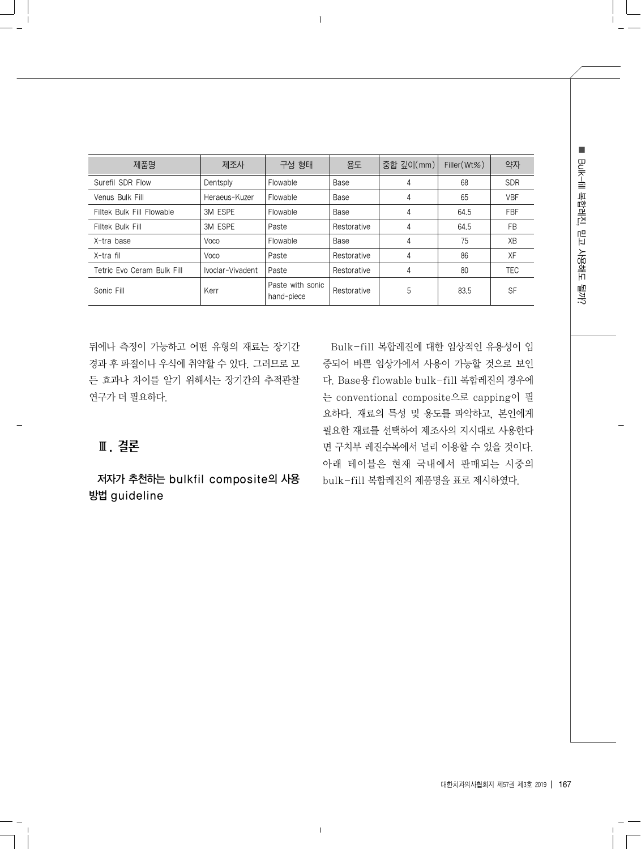| ė                 |
|-------------------|
| 훏<br>É            |
| ņĻ<br>Ë           |
| نے<br>0<br>쁘<br>읇 |
|                   |

| 제품명                        | 제조사              | 구성 형태                          | 용도          | 중합 깊이(mm) | Filler $(Wt\%)$ | 약자         |
|----------------------------|------------------|--------------------------------|-------------|-----------|-----------------|------------|
| Surefil SDR Flow           | Dentsply         | Flowable                       | Base        | 4         | 68              | <b>SDR</b> |
| Venus Bulk Fill            | Heraeus-Kuzer    | Flowable                       | Base        | 4         | 65              | <b>VBF</b> |
| Filtek Bulk Fill Flowable  | 3M ESPE          | Flowable                       | Base        | 4         | 64.5            | <b>FBF</b> |
| Filtek Bulk Fill           | 3M ESPE          | Paste                          | Restorative | 4         | 64.5            | <b>FB</b>  |
| X-tra base                 | Voco             | Flowable                       | Base        | 4         | 75              | ΧB         |
| X-tra fil                  | Voco             | Paste                          | Restorative | 4         | 86              | XF         |
| Tetric Evo Ceram Bulk Fill | Ivoclar-Vivadent | Paste                          | Restorative | 4         | 80              | TEC        |
| Sonic Fill                 | Kerr             | Paste with sonic<br>hand-piece | Restorative | 5         | 83.5            | <b>SF</b>  |

뒤에나 측정이 가능하고 어떤 유형의 재료는 장기간 경과 후 파절이나 우식에 취약할 수 있다. 그러므로 모 든 효과나 차이를 알기 위해서는 장기간의 추적관찰 연구가 더 필요하다.

Bulk-fill 복합레진에 대한 임상적인 유용성이 입 증되어 바쁜 임상가에서 사용이 가능할 것으로 보인 다. Base용 flowable bulk-fill 복합레진의 경우에 는 conventional composite으로 capping이 필 요하다. 재료의 특성 및 용도를 파악하고, 본인에게 필요한 재료를 선택하여 제조사의 지시대로 사용한다 면 구치부 레진수복에서 널리 이용할 수 있을 것이다. 아래 테이블은 현재 국내에서 판매되는 시중의 bulk-fill 복합레진의 제품명을 표로 제시하였다.

# Ⅲ. 결론

저자가 추천하는 bulkfil composite의 사용 방법 guideline

대한치과의사협회지 제57권 제3호 2019 | 167